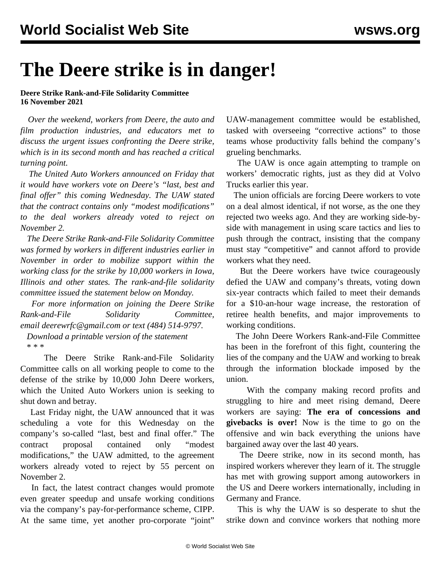## **The Deere strike is in danger!**

## **Deere Strike Rank-and-File Solidarity Committee 16 November 2021**

 *Over the weekend, workers from Deere, the auto and film production industries, and educators met to discuss the urgent issues confronting the Deere strike, which is in its second month and has reached a critical turning point.*

 *The United Auto Workers announced on Friday that it would have workers vote on Deere's "last, best and final offer" this coming Wednesday. The UAW stated that the contract contains only "modest modifications" to the deal workers already voted to reject on November 2.*

 *The Deere Strike Rank-and-File Solidarity Committee was formed by workers in different industries earlier in November in order to mobilize support within the working class for the strike by 10,000 workers in Iowa, Illinois and other states. The rank-and-file solidarity committee issued the statement below on Monday.*

 *For more information on joining the Deere Strike Rank-and-File Solidarity Committee, email [deerewrfc@gmail.com](mailto:deerewrfc@gmail.com) or text (484) 514-9797.*

 *[Download a printable version of the statement](https://drive.google.com/file/d/1W-yxsJGaAB4OzLUeTL4oiueB725kpyGA/view?usp=drivesdk)* \* \* \*

 The Deere Strike Rank-and-File Solidarity Committee calls on all working people to come to the defense of the strike by 10,000 John Deere workers, which the United Auto Workers union is seeking to shut down and betray.

 Last Friday night, the UAW announced that it was scheduling a vote for this Wednesday on the company's so-called "last, best and final offer." The contract proposal contained only "modest modifications," the UAW admitted, to the agreement workers already voted to reject by 55 percent on November 2.

 In fact, the latest contract changes would promote even greater speedup and unsafe working conditions via the company's pay-for-performance scheme, CIPP. At the same time, yet another pro-corporate "joint"

UAW-management committee would be established, tasked with overseeing "corrective actions" to those teams whose productivity falls behind the company's grueling benchmarks.

 The UAW is once again attempting to trample on workers' democratic rights, just as they did at Volvo Trucks earlier this year.

 The union officials are forcing Deere workers to vote on a deal almost identical, if not worse, as the one they rejected two weeks ago. And they are working side-byside with management in using scare tactics and lies to push through the contract, insisting that the company must stay "competitive" and cannot afford to provide workers what they need.

 But the Deere workers have twice courageously defied the UAW and company's threats, voting down six-year contracts which failed to meet their demands for a \$10-an-hour wage increase, the restoration of retiree health benefits, and major improvements to working conditions.

 The John Deere Workers Rank-and-File Committee has been in the forefront of this fight, countering the lies of the company and the UAW and working to break through the information blockade imposed by the union.

 With the company making record profits and struggling to hire and meet rising demand, Deere workers are saying: **The era of concessions and givebacks is over!** Now is the time to go on the offensive and win back everything the unions have bargained away over the last 40 years.

 The Deere strike, now in its second month, has inspired workers wherever they learn of it. The struggle has met with growing support among autoworkers in the US and Deere workers internationally, including in Germany and France.

 This is why the UAW is so desperate to shut the strike down and convince workers that nothing more